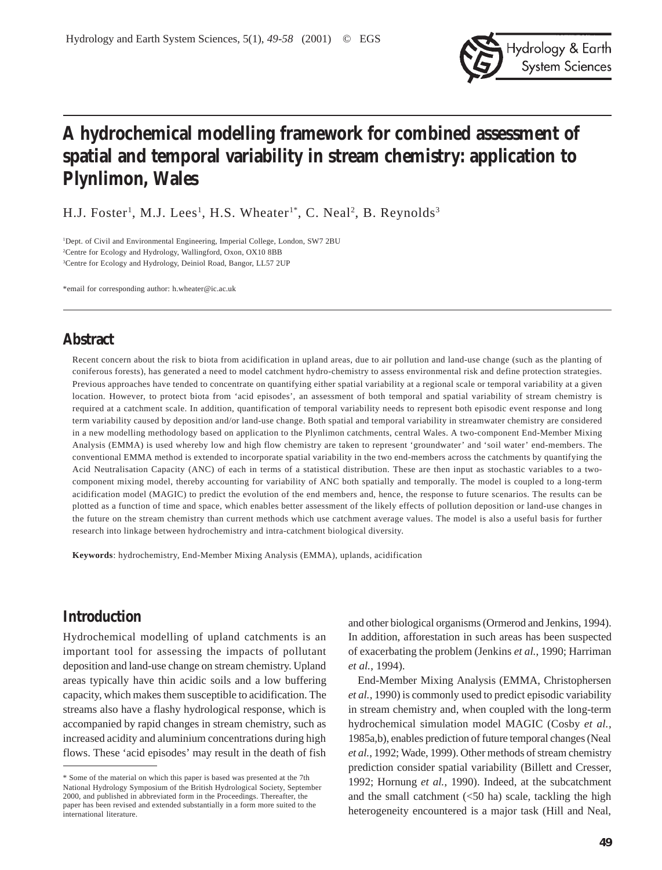

# **A hydrochemical modelling framework for combined assessment of spatial and temporal variability in stream chemistry: application to Plynlimon, Wales**

H.J. Foster<sup>1</sup>, M.J. Lees<sup>1</sup>, H.S. Wheater<sup>1\*</sup>, C. Neal<sup>2</sup>, B. Reynolds<sup>3</sup>

<sup>1</sup>Dept. of Civil and Environmental Engineering, Imperial College, London, SW7 2BU 2 Centre for Ecology and Hydrology, Wallingford, Oxon, OX10 8BB 3 Centre for Ecology and Hydrology, Deiniol Road, Bangor, LL57 2UP

\*email for corresponding author: h.wheater@ic.ac.uk

#### **Abstract**

Recent concern about the risk to biota from acidification in upland areas, due to air pollution and land-use change (such as the planting of coniferous forests), has generated a need to model catchment hydro-chemistry to assess environmental risk and define protection strategies. Previous approaches have tended to concentrate on quantifying either spatial variability at a regional scale or temporal variability at a given location. However, to protect biota from 'acid episodes', an assessment of both temporal and spatial variability of stream chemistry is required at a catchment scale. In addition, quantification of temporal variability needs to represent both episodic event response and long term variability caused by deposition and/or land-use change. Both spatial and temporal variability in streamwater chemistry are considered in a new modelling methodology based on application to the Plynlimon catchments, central Wales. A two-component End-Member Mixing Analysis (EMMA) is used whereby low and high flow chemistry are taken to represent 'groundwater' and 'soil water' end-members. The conventional EMMA method is extended to incorporate spatial variability in the two end-members across the catchments by quantifying the Acid Neutralisation Capacity (ANC) of each in terms of a statistical distribution. These are then input as stochastic variables to a twocomponent mixing model, thereby accounting for variability of ANC both spatially and temporally. The model is coupled to a long-term acidification model (MAGIC) to predict the evolution of the end members and, hence, the response to future scenarios. The results can be plotted as a function of time and space, which enables better assessment of the likely effects of pollution deposition or land-use changes in the future on the stream chemistry than current methods which use catchment average values. The model is also a useful basis for further research into linkage between hydrochemistry and intra-catchment biological diversity.

**Keywords**: hydrochemistry, End-Member Mixing Analysis (EMMA), uplands, acidification

## **Introduction**

Hydrochemical modelling of upland catchments is an important tool for assessing the impacts of pollutant deposition and land-use change on stream chemistry. Upland areas typically have thin acidic soils and a low buffering capacity, which makes them susceptible to acidification. The streams also have a flashy hydrological response, which is accompanied by rapid changes in stream chemistry, such as increased acidity and aluminium concentrations during high flows. These 'acid episodes' may result in the death of fish

and other biological organisms (Ormerod and Jenkins, 1994). In addition, afforestation in such areas has been suspected of exacerbating the problem (Jenkins *et al.*, 1990; Harriman *et al.*, 1994).

End-Member Mixing Analysis (EMMA, Christophersen *et al.*, 1990) is commonly used to predict episodic variability in stream chemistry and, when coupled with the long-term hydrochemical simulation model MAGIC (Cosby *et al.*, 1985a,b), enables prediction of future temporal changes (Neal *et al.*, 1992; Wade, 1999). Other methods of stream chemistry prediction consider spatial variability (Billett and Cresser, 1992; Hornung *et al.*, 1990). Indeed, at the subcatchment and the small catchment  $(<50 \text{ ha})$  scale, tackling the high heterogeneity encountered is a major task (Hill and Neal,

<sup>\*</sup> Some of the material on which this paper is based was presented at the 7th National Hydrology Symposium of the British Hydrological Society, September 2000, and published in abbreviated form in the Proceedings. Thereafter, the paper has been revised and extended substantially in a form more suited to the international literature.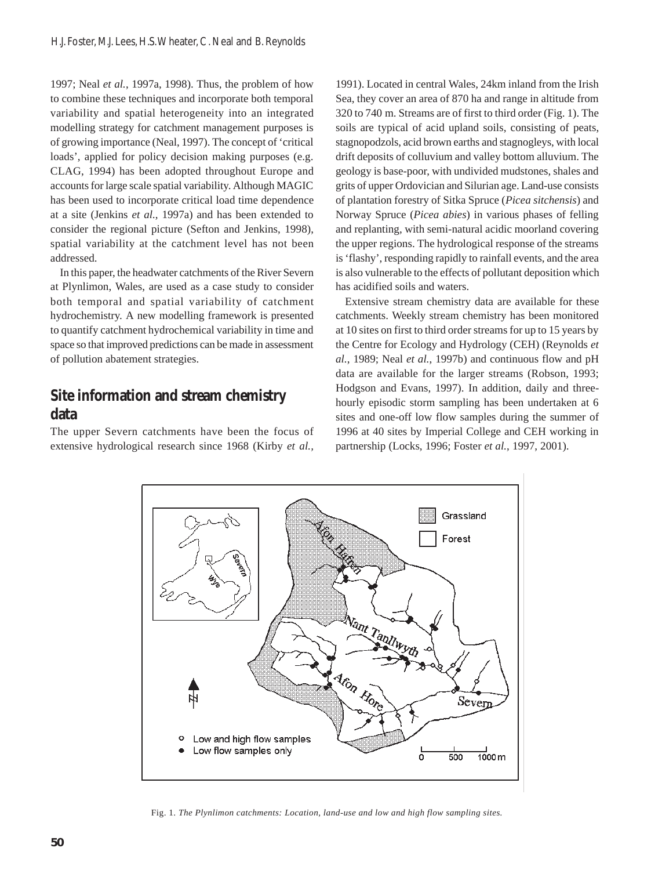1997; Neal *et al.*, 1997a, 1998). Thus, the problem of how to combine these techniques and incorporate both temporal variability and spatial heterogeneity into an integrated modelling strategy for catchment management purposes is of growing importance (Neal, 1997). The concept of 'critical loads', applied for policy decision making purposes (e.g. CLAG, 1994) has been adopted throughout Europe and accounts for large scale spatial variability. Although MAGIC has been used to incorporate critical load time dependence at a site (Jenkins *et al.*, 1997a) and has been extended to consider the regional picture (Sefton and Jenkins, 1998), spatial variability at the catchment level has not been addressed.

In this paper, the headwater catchments of the River Severn at Plynlimon, Wales, are used as a case study to consider both temporal and spatial variability of catchment hydrochemistry. A new modelling framework is presented to quantify catchment hydrochemical variability in time and space so that improved predictions can be made in assessment of pollution abatement strategies.

## **Site information and stream chemistry data**

The upper Severn catchments have been the focus of extensive hydrological research since 1968 (Kirby *et al.,*

1991). Located in central Wales, 24km inland from the Irish Sea, they cover an area of 870 ha and range in altitude from 320 to 740 m. Streams are of first to third order (Fig. 1). The soils are typical of acid upland soils, consisting of peats, stagnopodzols, acid brown earths and stagnogleys, with local drift deposits of colluvium and valley bottom alluvium. The geology is base-poor, with undivided mudstones, shales and grits of upper Ordovician and Silurian age. Land-use consists of plantation forestry of Sitka Spruce (*Picea sitchensis*) and Norway Spruce (*Picea abies*) in various phases of felling and replanting, with semi-natural acidic moorland covering the upper regions. The hydrological response of the streams is 'flashy', responding rapidly to rainfall events, and the area is also vulnerable to the effects of pollutant deposition which has acidified soils and waters.

Extensive stream chemistry data are available for these catchments. Weekly stream chemistry has been monitored at 10 sites on first to third order streams for up to 15 years by the Centre for Ecology and Hydrology (CEH) (Reynolds *et al.*, 1989; Neal *et al.*, 1997b) and continuous flow and pH data are available for the larger streams (Robson, 1993; Hodgson and Evans, 1997). In addition, daily and threehourly episodic storm sampling has been undertaken at 6 sites and one-off low flow samples during the summer of 1996 at 40 sites by Imperial College and CEH working in partnership (Locks, 1996; Foster *et al.*, 1997, 2001).



Fig. 1. *The Plynlimon catchments: Location, land-use and low and high flow sampling sites.*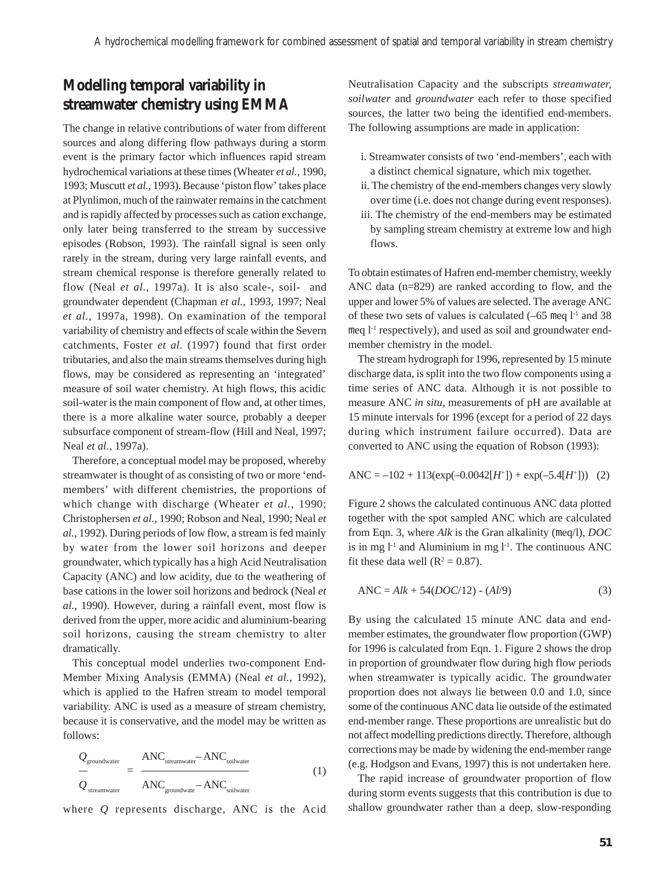## **Modelling temporal variability in streamwater chemistry using EMMA**

The change in relative contributions of water from different sources and along differing flow pathways during a storm event is the primary factor which influences rapid stream hydrochemical variations at these times (Wheater *et al.*, 1990, 1993; Muscutt *et al.*, 1993). Because 'piston flow' takes place at Plynlimon, much of the rainwater remains in the catchment and is rapidly affected by processes such as cation exchange, only later being transferred to the stream by successive episodes (Robson, 1993). The rainfall signal is seen only rarely in the stream, during very large rainfall events, and stream chemical response is therefore generally related to flow (Neal *et al.*, 1997a). It is also scale-, soil- and groundwater dependent (Chapman *et al.*, 1993, 1997; Neal *et al.*, 1997a, 1998). On examination of the temporal variability of chemistry and effects of scale within the Severn catchments, Foster *et al.* (1997) found that first order tributaries, and also the main streams themselves during high flows, may be considered as representing an 'integrated' measure of soil water chemistry. At high flows, this acidic soil-water is the main component of flow and, at other times, there is a more alkaline water source, probably a deeper subsurface component of stream-flow (Hill and Neal, 1997; Neal *et al.*, 1997a).

Therefore, a conceptual model may be proposed, whereby streamwater is thought of as consisting of two or more 'endmembers' with different chemistries, the proportions of which change with discharge (Wheater *et al.*, 1990; Christophersen *et al.*, 1990; Robson and Neal, 1990; Neal *et al.*, 1992). During periods of low flow, a stream is fed mainly by water from the lower soil horizons and deeper groundwater, which typically has a high Acid Neutralisation Capacity (ANC) and low acidity, due to the weathering of base cations in the lower soil horizons and bedrock (Neal *et al.*, 1990). However, during a rainfall event, most flow is derived from the upper, more acidic and aluminium-bearing soil horizons, causing the stream chemistry to alter dramatically.

This conceptual model underlies two-component End-Member Mixing Analysis (EMMA) (Neal *et al.*, 1992), which is applied to the Hafren stream to model temporal variability. ANC is used as a measure of stream chemistry, because it is conservative, and the model may be written as follows:

$$
\frac{Q_{\text{groundwater}}}{Q_{\text{streamwater}}} = \frac{\text{ANC}_{\text{streamwater}} - \text{ANC}_{\text{soilwater}}}{\text{ANC}_{\text{groundwater}} - \text{ANC}_{\text{soilwater}}}
$$
(1)

where *Q* represents discharge, ANC is the Acid

Neutralisation Capacity and the subscripts *streamwater, soilwater* and *groundwater* each refer to those specified sources, the latter two being the identified end-members. The following assumptions are made in application:

- i. Streamwater consists of two 'end-members', each with a distinct chemical signature, which mix together.
- ii. The chemistry of the end-members changes very slowly over time (i.e. does not change during event responses).
- iii. The chemistry of the end-members may be estimated by sampling stream chemistry at extreme low and high flows.

To obtain estimates of Hafren end-member chemistry, weekly ANC data (n=829) are ranked according to flow, and the upper and lower 5% of values are selected. The average ANC of these two sets of values is calculated  $(-65 \text{ meq } 11 \text{ and } 38$ meq  $l^{-1}$  respectively), and used as soil and groundwater endmember chemistry in the model.

The stream hydrograph for 1996, represented by 15 minute discharge data, is split into the two flow components using a time series of ANC data. Although it is not possible to measure ANC *in situ*, measurements of pH are available at 15 minute intervals for 1996 (except for a period of 22 days during which instrument failure occurred). Data are converted to ANC using the equation of Robson (1993):

ANC =  $-102 + 113(exp(-0.0042[H^+]) + exp(-5.4[H^+]))$  (2)

Figure 2 shows the calculated continuous ANC data plotted together with the spot sampled ANC which are calculated from Eqn. 3, where *Alk* is the Gran alkalinity (meq/l), *DOC* is in mg  $l<sup>-1</sup>$  and Aluminium in mg  $l<sup>-1</sup>$ . The continuous ANC fit these data well  $(R^2 = 0.87)$ .

$$
ANC = Alk + 54(DOC/12) - (Al/9)
$$
 (3)

By using the calculated 15 minute ANC data and endmember estimates, the groundwater flow proportion (GWP) for 1996 is calculated from Eqn. 1. Figure 2 shows the drop in proportion of groundwater flow during high flow periods when streamwater is typically acidic. The groundwater proportion does not always lie between 0.0 and 1.0, since some of the continuous ANC data lie outside of the estimated end-member range. These proportions are unrealistic but do not affect modelling predictions directly. Therefore, although corrections may be made by widening the end-member range (e.g. Hodgson and Evans, 1997) this is not undertaken here.

The rapid increase of groundwater proportion of flow during storm events suggests that this contribution is due to shallow groundwater rather than a deep, slow-responding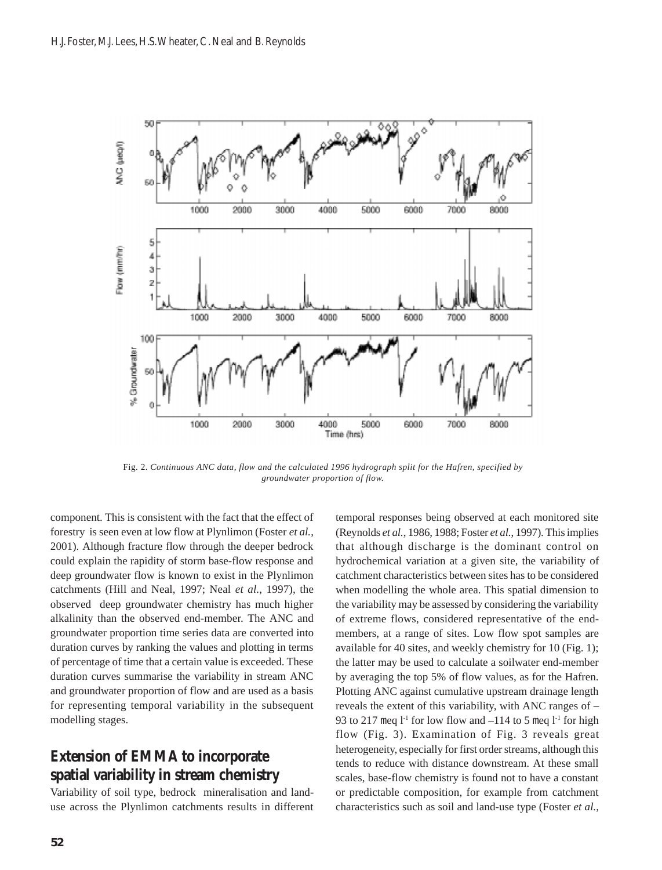

Fig. 2. *Continuous ANC data, flow and the calculated 1996 hydrograph split for the Hafren, specified by groundwater proportion of flow.*

component. This is consistent with the fact that the effect of forestry is seen even at low flow at Plynlimon (Foster *et al.*, 2001). Although fracture flow through the deeper bedrock could explain the rapidity of storm base-flow response and deep groundwater flow is known to exist in the Plynlimon catchments (Hill and Neal, 1997; Neal *et al.*, 1997), the observed deep groundwater chemistry has much higher alkalinity than the observed end-member. The ANC and groundwater proportion time series data are converted into duration curves by ranking the values and plotting in terms of percentage of time that a certain value is exceeded. These duration curves summarise the variability in stream ANC and groundwater proportion of flow and are used as a basis for representing temporal variability in the subsequent modelling stages.

# **Extension of EMMA to incorporate spatial variability in stream chemistry**

Variability of soil type, bedrock mineralisation and landuse across the Plynlimon catchments results in different temporal responses being observed at each monitored site (Reynolds *et al.*, 1986, 1988; Foster *et al.*, 1997). This implies that although discharge is the dominant control on hydrochemical variation at a given site, the variability of catchment characteristics between sites has to be considered when modelling the whole area. This spatial dimension to the variability may be assessed by considering the variability of extreme flows, considered representative of the endmembers, at a range of sites. Low flow spot samples are available for 40 sites, and weekly chemistry for 10 (Fig. 1); the latter may be used to calculate a soilwater end-member by averaging the top 5% of flow values, as for the Hafren. Plotting ANC against cumulative upstream drainage length reveals the extent of this variability, with ANC ranges of – 93 to 217 meq  $l^{-1}$  for low flow and  $-114$  to 5 meq  $l^{-1}$  for high flow (Fig. 3). Examination of Fig. 3 reveals great heterogeneity, especially for first order streams, although this tends to reduce with distance downstream. At these small scales, base-flow chemistry is found not to have a constant or predictable composition, for example from catchment characteristics such as soil and land-use type (Foster *et al.*,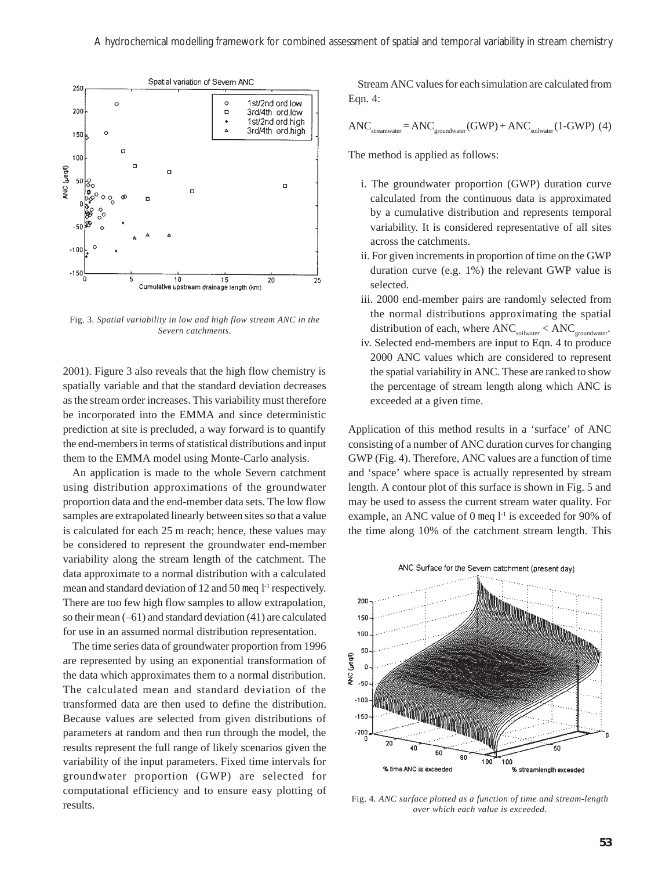

Fig. 3*. Spatial variability in low and high flow stream ANC in the Severn catchments.*

2001). Figure 3 also reveals that the high flow chemistry is spatially variable and that the standard deviation decreases as the stream order increases. This variability must therefore be incorporated into the EMMA and since deterministic prediction at site is precluded, a way forward is to quantify the end-members in terms of statistical distributions and input them to the EMMA model using Monte-Carlo analysis.

An application is made to the whole Severn catchment using distribution approximations of the groundwater proportion data and the end-member data sets. The low flow samples are extrapolated linearly between sites so that a value is calculated for each 25 m reach; hence, these values may be considered to represent the groundwater end-member variability along the stream length of the catchment. The data approximate to a normal distribution with a calculated mean and standard deviation of 12 and 50 meq  $1<sup>-1</sup>$  respectively. There are too few high flow samples to allow extrapolation, so their mean (–61) and standard deviation (41) are calculated for use in an assumed normal distribution representation.

The time series data of groundwater proportion from 1996 are represented by using an exponential transformation of the data which approximates them to a normal distribution. The calculated mean and standard deviation of the transformed data are then used to define the distribution. Because values are selected from given distributions of parameters at random and then run through the model, the results represent the full range of likely scenarios given the variability of the input parameters. Fixed time intervals for groundwater proportion (GWP) are selected for computational efficiency and to ensure easy plotting of results.

Stream ANC values for each simulation are calculated from Eqn. 4:

$$
ANC_{\text{streamwater}} = ANC_{\text{groundwater}} (GWP) + ANC_{\text{solwater}} (1-GWP) (4)
$$

The method is applied as follows:

- i. The groundwater proportion (GWP) duration curve calculated from the continuous data is approximated by a cumulative distribution and represents temporal variability. It is considered representative of all sites across the catchments.
- ii. For given increments in proportion of time on the GWP duration curve (e.g. 1%) the relevant GWP value is selected.
- iii. 2000 end-member pairs are randomly selected from the normal distributions approximating the spatial distribution of each, where  $\text{ANC}_{\text{solwater}} < \text{ANC}_{\text{groundwater}}$ .
- iv. Selected end-members are input to Eqn. 4 to produce 2000 ANC values which are considered to represent the spatial variability in ANC. These are ranked to show the percentage of stream length along which ANC is exceeded at a given time.

Application of this method results in a 'surface' of ANC consisting of a number of ANC duration curves for changing GWP (Fig. 4). Therefore, ANC values are a function of time and 'space' where space is actually represented by stream length. A contour plot of this surface is shown in Fig. 5 and may be used to assess the current stream water quality. For example, an ANC value of 0 meg  $l^{-1}$  is exceeded for 90% of the time along 10% of the catchment stream length. This



Fig. 4*. ANC surface plotted as a function of time and stream-length over which each value is exceeded.*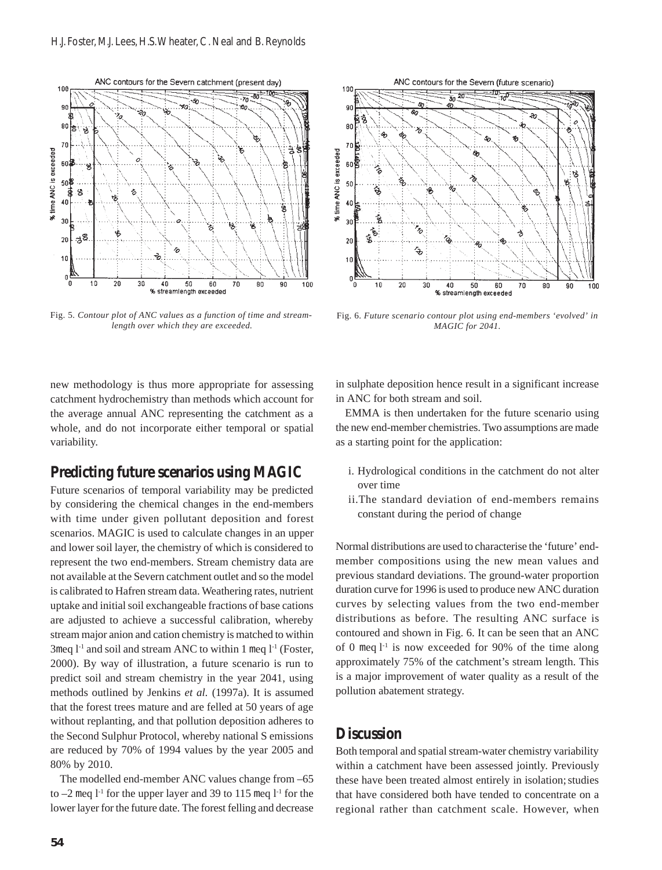

Fig. 5*. Contour plot of ANC values as a function of time and streamlength over which they are exceeded.*

new methodology is thus more appropriate for assessing catchment hydrochemistry than methods which account for the average annual ANC representing the catchment as a whole, and do not incorporate either temporal or spatial variability.

## **Predicting future scenarios using MAGIC**

Future scenarios of temporal variability may be predicted by considering the chemical changes in the end-members with time under given pollutant deposition and forest scenarios. MAGIC is used to calculate changes in an upper and lower soil layer, the chemistry of which is considered to represent the two end-members. Stream chemistry data are not available at the Severn catchment outlet and so the model is calibrated to Hafren stream data. Weathering rates, nutrient uptake and initial soil exchangeable fractions of base cations are adjusted to achieve a successful calibration, whereby stream major anion and cation chemistry is matched to within 3meq  $l<sup>-1</sup>$  and soil and stream ANC to within 1 meq  $l<sup>-1</sup>$  (Foster, 2000). By way of illustration, a future scenario is run to predict soil and stream chemistry in the year 2041, using methods outlined by Jenkins *et al.* (1997a). It is assumed that the forest trees mature and are felled at 50 years of age without replanting, and that pollution deposition adheres to the Second Sulphur Protocol, whereby national S emissions are reduced by 70% of 1994 values by the year 2005 and 80% by 2010.

The modelled end-member ANC values change from –65 to  $-2$  meg  $1<sup>1</sup>$  for the upper layer and 39 to 115 meg  $1<sup>1</sup>$  for the lower layer for the future date. The forest felling and decrease



Fig. 6. *Future scenario contour plot using end-members 'evolved' in MAGIC for 2041.*

in sulphate deposition hence result in a significant increase in ANC for both stream and soil.

EMMA is then undertaken for the future scenario using the new end-member chemistries. Two assumptions are made as a starting point for the application:

- i. Hydrological conditions in the catchment do not alter over time
- ii.The standard deviation of end-members remains constant during the period of change

Normal distributions are used to characterise the 'future' endmember compositions using the new mean values and previous standard deviations. The ground-water proportion duration curve for 1996 is used to produce new ANC duration curves by selecting values from the two end-member distributions as before. The resulting ANC surface is contoured and shown in Fig. 6. It can be seen that an ANC of 0 meq  $l<sup>-1</sup>$  is now exceeded for 90% of the time along approximately 75% of the catchment's stream length. This is a major improvement of water quality as a result of the pollution abatement strategy.

#### **Discussion**

Both temporal and spatial stream-water chemistry variability within a catchment have been assessed jointly. Previously these have been treated almost entirely in isolation; studies that have considered both have tended to concentrate on a regional rather than catchment scale. However, when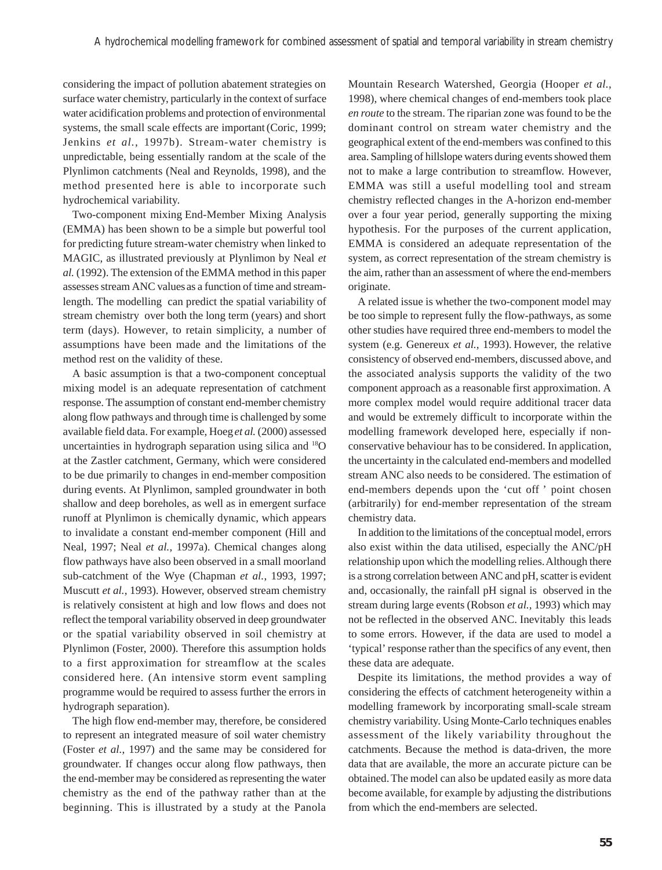considering the impact of pollution abatement strategies on surface water chemistry, particularly in the context of surface water acidification problems and protection of environmental systems, the small scale effects are important (Coric, 1999; Jenkins *et al.*, 1997b). Stream-water chemistry is unpredictable, being essentially random at the scale of the Plynlimon catchments (Neal and Reynolds, 1998), and the method presented here is able to incorporate such hydrochemical variability.

Two-component mixing End-Member Mixing Analysis (EMMA) has been shown to be a simple but powerful tool for predicting future stream-water chemistry when linked to MAGIC, as illustrated previously at Plynlimon by Neal *et al.* (1992). The extension of the EMMA method in this paper assesses stream ANC values as a function of time and streamlength. The modelling can predict the spatial variability of stream chemistry over both the long term (years) and short term (days). However, to retain simplicity, a number of assumptions have been made and the limitations of the method rest on the validity of these.

A basic assumption is that a two-component conceptual mixing model is an adequate representation of catchment response. The assumption of constant end-member chemistry along flow pathways and through time is challenged by some available field data. For example, Hoeg *et al.* (2000) assessed uncertainties in hydrograph separation using silica and 18O at the Zastler catchment, Germany, which were considered to be due primarily to changes in end-member composition during events. At Plynlimon, sampled groundwater in both shallow and deep boreholes, as well as in emergent surface runoff at Plynlimon is chemically dynamic, which appears to invalidate a constant end-member component (Hill and Neal, 1997; Neal *et al.*, 1997a). Chemical changes along flow pathways have also been observed in a small moorland sub-catchment of the Wye (Chapman *et al.*, 1993, 1997; Muscutt *et al.*, 1993). However, observed stream chemistry is relatively consistent at high and low flows and does not reflect the temporal variability observed in deep groundwater or the spatial variability observed in soil chemistry at Plynlimon (Foster, 2000). Therefore this assumption holds to a first approximation for streamflow at the scales considered here. (An intensive storm event sampling programme would be required to assess further the errors in hydrograph separation).

The high flow end-member may, therefore, be considered to represent an integrated measure of soil water chemistry (Foster *et al.*, 1997) and the same may be considered for groundwater. If changes occur along flow pathways, then the end-member may be considered as representing the water chemistry as the end of the pathway rather than at the beginning. This is illustrated by a study at the Panola

Mountain Research Watershed, Georgia (Hooper *et al.*, 1998), where chemical changes of end-members took place *en route* to the stream. The riparian zone was found to be the dominant control on stream water chemistry and the geographical extent of the end-members was confined to this area. Sampling of hillslope waters during events showed them not to make a large contribution to streamflow. However, EMMA was still a useful modelling tool and stream chemistry reflected changes in the A-horizon end-member over a four year period, generally supporting the mixing hypothesis. For the purposes of the current application, EMMA is considered an adequate representation of the system, as correct representation of the stream chemistry is the aim, rather than an assessment of where the end-members originate.

A related issue is whether the two-component model may be too simple to represent fully the flow-pathways, as some other studies have required three end-members to model the system (e.g. Genereux *et al.*, 1993). However, the relative consistency of observed end-members, discussed above, and the associated analysis supports the validity of the two component approach as a reasonable first approximation. A more complex model would require additional tracer data and would be extremely difficult to incorporate within the modelling framework developed here, especially if nonconservative behaviour has to be considered. In application, the uncertainty in the calculated end-members and modelled stream ANC also needs to be considered. The estimation of end-members depends upon the 'cut off ' point chosen (arbitrarily) for end-member representation of the stream chemistry data.

In addition to the limitations of the conceptual model, errors also exist within the data utilised, especially the ANC/pH relationship upon which the modelling relies.Although there is a strong correlation between ANC and pH, scatter is evident and, occasionally, the rainfall pH signal is observed in the stream during large events (Robson *et al.,* 1993) which may not be reflected in the observed ANC. Inevitably this leads to some errors. However, if the data are used to model a 'typical' response rather than the specifics of any event, then these data are adequate.

Despite its limitations, the method provides a way of considering the effects of catchment heterogeneity within a modelling framework by incorporating small-scale stream chemistry variability. Using Monte-Carlo techniques enables assessment of the likely variability throughout the catchments. Because the method is data-driven, the more data that are available, the more an accurate picture can be obtained.The model can also be updated easily as more data become available, for example by adjusting the distributions from which the end-members are selected.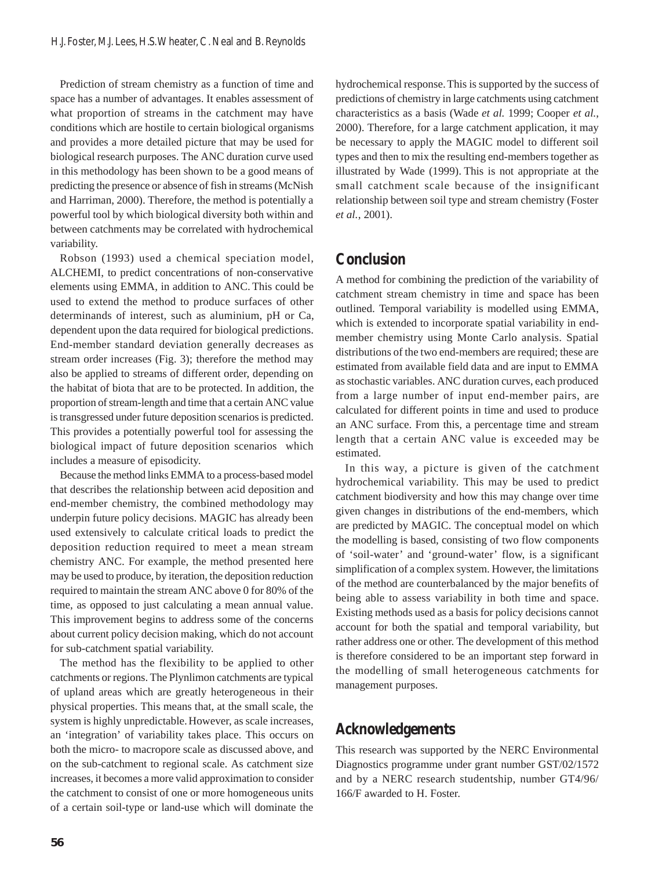Prediction of stream chemistry as a function of time and space has a number of advantages. It enables assessment of what proportion of streams in the catchment may have conditions which are hostile to certain biological organisms and provides a more detailed picture that may be used for biological research purposes. The ANC duration curve used in this methodology has been shown to be a good means of predicting the presence or absence of fish in streams (McNish and Harriman, 2000). Therefore, the method is potentially a powerful tool by which biological diversity both within and between catchments may be correlated with hydrochemical variability.

Robson (1993) used a chemical speciation model, ALCHEMI, to predict concentrations of non-conservative elements using EMMA, in addition to ANC. This could be used to extend the method to produce surfaces of other determinands of interest, such as aluminium, pH or Ca, dependent upon the data required for biological predictions. End-member standard deviation generally decreases as stream order increases (Fig. 3); therefore the method may also be applied to streams of different order, depending on the habitat of biota that are to be protected. In addition, the proportion of stream-length and time that a certain ANC value is transgressed under future deposition scenarios is predicted. This provides a potentially powerful tool for assessing the biological impact of future deposition scenarios which includes a measure of episodicity.

Because the method links EMMA to a process-based model that describes the relationship between acid deposition and end-member chemistry, the combined methodology may underpin future policy decisions. MAGIC has already been used extensively to calculate critical loads to predict the deposition reduction required to meet a mean stream chemistry ANC. For example, the method presented here may be used to produce, by iteration, the deposition reduction required to maintain the stream ANC above 0 for 80% of the time, as opposed to just calculating a mean annual value. This improvement begins to address some of the concerns about current policy decision making, which do not account for sub-catchment spatial variability.

The method has the flexibility to be applied to other catchments or regions. The Plynlimon catchments are typical of upland areas which are greatly heterogeneous in their physical properties. This means that, at the small scale, the system is highly unpredictable.However, as scale increases, an 'integration' of variability takes place. This occurs on both the micro- to macropore scale as discussed above, and on the sub-catchment to regional scale. As catchment size increases, it becomes a more valid approximation to consider the catchment to consist of one or more homogeneous units of a certain soil-type or land-use which will dominate the

hydrochemical response.This is supported by the success of predictions of chemistry in large catchments using catchment characteristics as a basis (Wade *et al.* 1999; Cooper *et al.*, 2000). Therefore, for a large catchment application, it may be necessary to apply the MAGIC model to different soil types and then to mix the resulting end-members together as illustrated by Wade (1999). This is not appropriate at the small catchment scale because of the insignificant relationship between soil type and stream chemistry (Foster *et al.*, 2001).

#### **Conclusion**

A method for combining the prediction of the variability of catchment stream chemistry in time and space has been outlined. Temporal variability is modelled using EMMA, which is extended to incorporate spatial variability in endmember chemistry using Monte Carlo analysis. Spatial distributions of the two end-members are required; these are estimated from available field data and are input to EMMA as stochastic variables. ANC duration curves, each produced from a large number of input end-member pairs, are calculated for different points in time and used to produce an ANC surface. From this, a percentage time and stream length that a certain ANC value is exceeded may be estimated.

In this way, a picture is given of the catchment hydrochemical variability. This may be used to predict catchment biodiversity and how this may change over time given changes in distributions of the end-members, which are predicted by MAGIC. The conceptual model on which the modelling is based, consisting of two flow components of 'soil-water' and 'ground-water' flow, is a significant simplification of a complex system. However, the limitations of the method are counterbalanced by the major benefits of being able to assess variability in both time and space. Existing methods used as a basis for policy decisions cannot account for both the spatial and temporal variability, but rather address one or other. The development of this method is therefore considered to be an important step forward in the modelling of small heterogeneous catchments for management purposes.

# **Acknowledgements**

This research was supported by the NERC Environmental Diagnostics programme under grant number GST/02/1572 and by a NERC research studentship, number GT4/96/ 166/F awarded to H. Foster.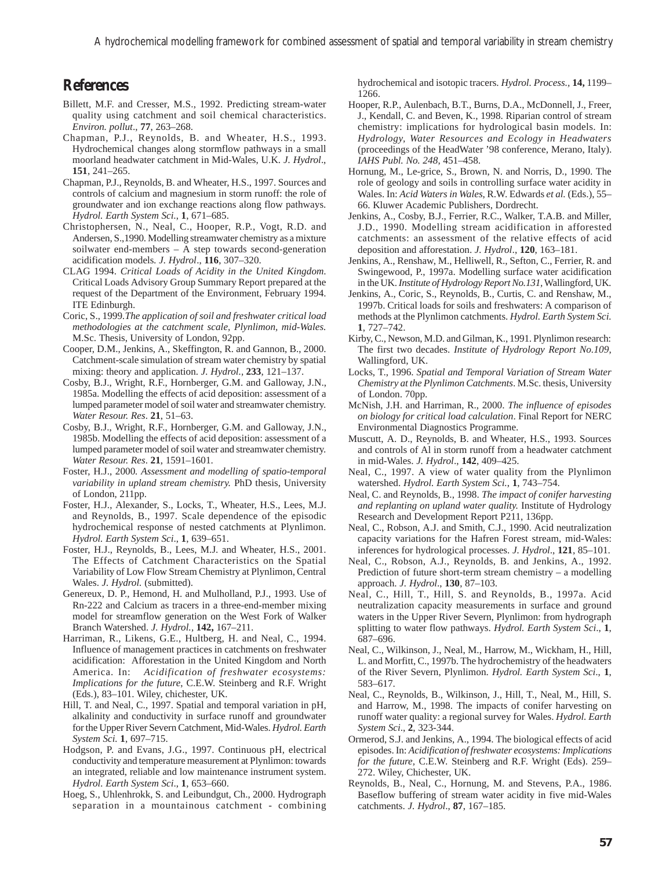### **References**

- Billett, M.F. and Cresser, M.S., 1992. Predicting stream-water quality using catchment and soil chemical characteristics. *Environ. pollut*., **77**, 263–268.
- Chapman, P.J., Reynolds, B. and Wheater, H.S., 1993. Hydrochemical changes along stormflow pathways in a small moorland headwater catchment in Mid-Wales, U.K. *J. Hydrol*., **151**, 241–265.
- Chapman, P.J., Reynolds, B. and Wheater, H.S., 1997. Sources and controls of calcium and magnesium in storm runoff: the role of groundwater and ion exchange reactions along flow pathways. *Hydrol. Earth System Sci*., **1**, 671–685.
- Christophersen, N., Neal, C., Hooper, R.P., Vogt, R.D. and Andersen, S.,1990. Modelling streamwater chemistry as a mixture soilwater end-members – A step towards second-generation acidification models*. J. Hydrol*., **116**, 307–320.
- CLAG 1994. *Critical Loads of Acidity in the United Kingdom*. Critical Loads Advisory Group Summary Report prepared at the request of the Department of the Environment, February 1994. ITE Edinburgh.
- Coric, S., 1999*.The application of soil and freshwater critical load methodologies at the catchment scale, Plynlimon, mid-Wales.* M.Sc. Thesis, University of London, 92pp.
- Cooper, D.M., Jenkins, A., Skeffington, R. and Gannon, B., 2000. Catchment-scale simulation of stream water chemistry by spatial mixing: theory and application. *J. Hydrol.,* **233**, 121–137.
- Cosby, B.J., Wright, R.F., Hornberger, G.M. and Galloway, J.N., 1985a. Modelling the effects of acid deposition: assessment of a lumped parameter model of soil water and streamwater chemistry. *Water Resour. Res*. **21**, 51–63.
- Cosby, B.J., Wright, R.F., Hornberger, G.M. and Galloway, J.N., 1985b. Modelling the effects of acid deposition: assessment of a lumped parameter model of soil water and streamwater chemistry. *Water Resour. Res*. **21**, 1591–1601.
- Foster, H.J., 2000*. Assessment and modelling of spatio-temporal variability in upland stream chemistry.* PhD thesis, University of London, 211pp.
- Foster, H.J., Alexander, S., Locks, T., Wheater, H.S., Lees, M.J. and Reynolds, B., 1997. Scale dependence of the episodic hydrochemical response of nested catchments at Plynlimon. *Hydrol. Earth System Sci*., **1**, 639–651.
- Foster, H.J., Reynolds, B., Lees, M.J. and Wheater, H.S., 2001. The Effects of Catchment Characteristics on the Spatial Variability of Low Flow Stream Chemistry at Plynlimon, Central Wales. *J. Hydrol.* (submitted).
- Genereux, D. P., Hemond, H. and Mulholland, P.J., 1993. Use of Rn-222 and Calcium as tracers in a three-end-member mixing model for streamflow generation on the West Fork of Walker Branch Watershed. *J. Hydrol.,* **142,** 167–211.
- Harriman, R., Likens, G.E., Hultberg, H. and Neal, C., 1994. Influence of management practices in catchments on freshwater acidification: Afforestation in the United Kingdom and North America. In: *Acidification of freshwater ecosystems: Implications for the future*, C.E.W. Steinberg and R.F. Wright (Eds.), 83–101. Wiley, chichester, UK.
- Hill, T. and Neal, C., 1997. Spatial and temporal variation in pH, alkalinity and conductivity in surface runoff and groundwater for the Upper River Severn Catchment, Mid-Wales. *Hydrol. Earth System Sci.* **1**, 697–715.
- Hodgson, P. and Evans, J.G., 1997. Continuous pH, electrical conductivity and temperature measurement at Plynlimon: towards an integrated, reliable and low maintenance instrument system. *Hydrol. Earth System Sci*., **1**, 653–660.
- Hoeg, S., Uhlenhrokk, S. and Leibundgut, Ch., 2000. Hydrograph separation in a mountainous catchment - combining

hydrochemical and isotopic tracers. *Hydrol. Process.,* **14,** 1199– 1266.

- Hooper, R.P., Aulenbach, B.T., Burns, D.A., McDonnell, J., Freer, J., Kendall, C. and Beven, K., 1998. Riparian control of stream chemistry: implications for hydrological basin models. In: *Hydrology, Water Resources and Ecology in Headwaters* (proceedings of the HeadWater '98 conference, Merano, Italy). *IAHS Publ. No. 248*, 451–458.
- Hornung, M., Le-grice, S., Brown, N. and Norris, D., 1990. The role of geology and soils in controlling surface water acidity in Wales. In: *Acid Waters in Wales*, R.W. Edwards *et al.* (Eds.), 55– 66. Kluwer Academic Publishers, Dordrecht.
- Jenkins, A., Cosby, B.J., Ferrier, R.C., Walker, T.A.B. and Miller, J.D., 1990. Modelling stream acidification in afforested catchments: an assessment of the relative effects of acid deposition and afforestation. *J. Hydrol*., **120**, 163–181.
- Jenkins, A., Renshaw, M., Helliwell, R., Sefton, C., Ferrier, R. and Swingewood, P., 1997a. Modelling surface water acidification in the UK. *Institute of Hydrology Report No.131,* Wallingford, UK*.*
- Jenkins, A., Coric, S., Reynolds, B., Curtis, C. and Renshaw, M., 1997b. Critical loads for soils and freshwaters: A comparison of methods at the Plynlimon catchments. *Hydrol. Earth System Sci.* **1**, 727–742.
- Kirby, C., Newson, M.D. and Gilman, K., 1991. Plynlimon research: The first two decades. *Institute of Hydrology Report No.109*, Wallingford, UK.
- Locks, T., 1996. *Spatial and Temporal Variation of Stream Water Chemistry at the Plynlimon Catchments*. M.Sc. thesis, University of London. 70pp.
- McNish, J.H. and Harriman, R., 2000. *The influence of episodes on biology for critical load calculation*. Final Report for NERC Environmental Diagnostics Programme.
- Muscutt, A. D., Reynolds, B. and Wheater, H.S., 1993. Sources and controls of Al in storm runoff from a headwater catchment in mid-Wales. *J. Hydrol*., **142**, 409–425.
- Neal, C., 1997. A view of water quality from the Plynlimon watershed. *Hydrol. Earth System Sci.*, **1**, 743–754.
- Neal, C. and Reynolds, B., 1998. *The impact of conifer harvesting and replanting on upland water quality.* Institute of Hydrology Research and Development Report P211, 136pp.
- Neal, C., Robson, A.J. and Smith, C.J., 1990. Acid neutralization capacity variations for the Hafren Forest stream, mid-Wales: inferences for hydrological processes. *J. Hydrol*., **121**, 85–101.
- Neal, C., Robson, A.J., Reynolds, B. and Jenkins, A., 1992. Prediction of future short-term stream chemistry – a modelling approach. *J. Hydrol*., **130**, 87–103.
- Neal, C., Hill, T., Hill, S. and Reynolds, B., 1997a. Acid neutralization capacity measurements in surface and ground waters in the Upper River Severn, Plynlimon: from hydrograph splitting to water flow pathways. *Hydrol. Earth System Sci*., **1**, 687–696.
- Neal, C., Wilkinson, J., Neal, M., Harrow, M., Wickham, H., Hill, L. and Morfitt, C., 1997b. The hydrochemistry of the headwaters of the River Severn, Plynlimon. *Hydrol. Earth System Sci*., **1**, 583–617.
- Neal, C., Reynolds, B., Wilkinson, J., Hill, T., Neal, M., Hill, S. and Harrow, M., 1998. The impacts of conifer harvesting on runoff water quality: a regional survey for Wales. *Hydrol. Earth System Sci*., **2**, 323-344.
- Ormerod, S.J. and Jenkins, A., 1994. The biological effects of acid episodes. In: *Acidification of freshwater ecosystems: Implications for the future,* C.E.W. Steinberg and R.F. Wright (Eds). 259– 272. Wiley, Chichester, UK.
- Reynolds, B., Neal, C., Hornung, M. and Stevens, P.A., 1986. Baseflow buffering of stream water acidity in five mid-Wales catchments. *J. Hydrol*., **87**, 167–185.